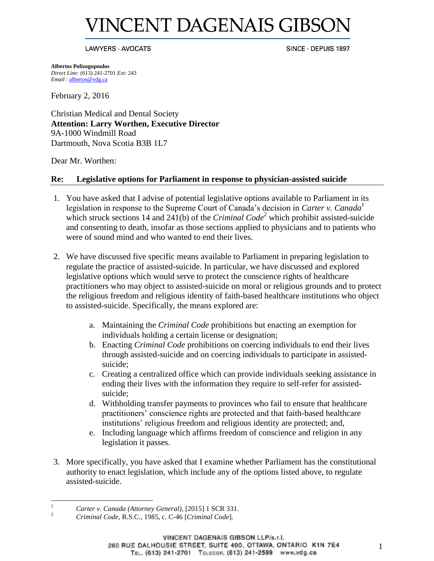# **INCENT DAGENAIS GIBSC**

#### LAWYERS · AVOCATS

SINCE · DEPUIS 1897

**Albertos Polizogopoulos**  *Direct Line:* (613) 241-2701 *Ext:* 243 *Email :* [albertos@vdg.ca](mailto:albertos@vdg.ca)

February 2, 2016

Christian Medical and Dental Society **Attention: Larry Worthen, Executive Director**  9A-1000 Windmill Road Dartmouth, Nova Scotia B3B 1L7

Dear Mr. Worthen:

## **Re: Legislative options for Parliament in response to physician-assisted suicide**

- 1. You have asked that I advise of potential legislative options available to Parliament in its legislation in response to the Supreme Court of Canada's decision in *Carter v. Canada*<sup>1</sup> which struck sections 14 and 241(b) of the *Criminal Code*<sup>2</sup> which prohibit assisted-suicide and consenting to death, insofar as those sections applied to physicians and to patients who were of sound mind and who wanted to end their lives.
- 2. We have discussed five specific means available to Parliament in preparing legislation to regulate the practice of assisted-suicide. In particular, we have discussed and explored legislative options which would serve to protect the conscience rights of healthcare practitioners who may object to assisted-suicide on moral or religious grounds and to protect the religious freedom and religious identity of faith-based healthcare institutions who object to assisted-suicide. Specifically, the means explored are:
	- a. Maintaining the *Criminal Code* prohibitions but enacting an exemption for individuals holding a certain license or designation;
	- b. Enacting *Criminal Code* prohibitions on coercing individuals to end their lives through assisted-suicide and on coercing individuals to participate in assistedsuicide;
	- c. Creating a centralized office which can provide individuals seeking assistance in ending their lives with the information they require to self-refer for assistedsuicide;
	- d. Withholding transfer payments to provinces who fail to ensure that healthcare practitioners' conscience rights are protected and that faith-based healthcare institutions' religious freedom and religious identity are protected; and,
	- e. Including language which affirms freedom of conscience and religion in any legislation it passes.
- 3. More specifically, you have asked that I examine whether Parliament has the constitutional authority to enact legislation, which include any of the options listed above, to regulate assisted-suicide.

<sup>&</sup>lt;sup>1</sup> *Carter v. Canada (Attorney General)*, [2015] 1 SCR 331.

<sup>2</sup> *Criminal Code,* R.S.C., 1985, c. C-46 [*Criminal Code*].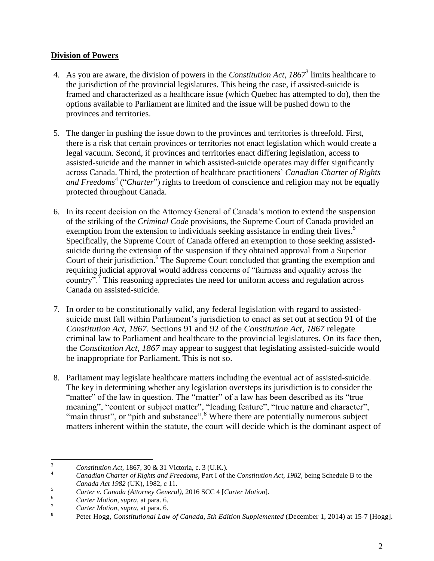# **Division of Powers**

- 4. As you are aware, the division of powers in the *Constitution Act, 1867*<sup>3</sup> limits healthcare to the jurisdiction of the provincial legislatures. This being the case, if assisted-suicide is framed and characterized as a healthcare issue (which Quebec has attempted to do), then the options available to Parliament are limited and the issue will be pushed down to the provinces and territories.
- 5. The danger in pushing the issue down to the provinces and territories is threefold. First, there is a risk that certain provinces or territories not enact legislation which would create a legal vacuum. Second, if provinces and territories enact differing legislation, access to assisted-suicide and the manner in which assisted-suicide operates may differ significantly across Canada. Third, the protection of healthcare practitioners' *Canadian Charter of Rights* and Freedoms<sup>4</sup> ("Charter") rights to freedom of conscience and religion may not be equally protected throughout Canada.
- 6. In its recent decision on the Attorney General of Canada's motion to extend the suspension of the striking of the *Criminal Code* provisions, the Supreme Court of Canada provided an exemption from the extension to individuals seeking assistance in ending their lives.<sup>5</sup> Specifically, the Supreme Court of Canada offered an exemption to those seeking assistedsuicide during the extension of the suspension if they obtained approval from a Superior Court of their jurisdiction.<sup>6</sup> The Supreme Court concluded that granting the exemption and requiring judicial approval would address concerns of "fairness and equality across the country".<sup>7</sup> This reasoning appreciates the need for uniform access and regulation across Canada on assisted-suicide.
- 7. In order to be constitutionally valid, any federal legislation with regard to assistedsuicide must fall within Parliament's jurisdiction to enact as set out at section 91 of the *Constitution Act, 1867*. Sections 91 and 92 of the *Constitution Act, 1867* relegate criminal law to Parliament and healthcare to the provincial legislatures. On its face then, the *Constitution Act, 1867* may appear to suggest that legislating assisted-suicide would be inappropriate for Parliament. This is not so.
- 8. Parliament may legislate healthcare matters including the eventual act of assisted-suicide. The key in determining whether any legislation oversteps its jurisdiction is to consider the "matter" of the law in question. The "matter" of a law has been described as its "true meaning", "content or subject matter", "leading feature", "true nature and character", "main thrust", or "pith and substance".<sup>8</sup> Where there are potentially numerous subject matters inherent within the statute, the court will decide which is the dominant aspect of

 $\frac{3}{4}$  *Constitution Act*, 1867, 30 & 31 Victoria, c. 3 (U.K.).

<sup>4</sup> *Canadian Charter of Rights and Freedoms*, Part I of the *Constitution Act, 1982*, being Schedule B to the *Canada Act 1982* (UK), 1982, c 11.

<sup>5</sup> *Carter v. Canada (Attorney General)*, 2016 SCC 4 [*Carter Motion*].

<sup>6</sup> *Carter Motion, supra,* at para. 6.

<sup>7</sup> *Carter Motion, supra,* at para. 6.

<sup>8</sup> Peter Hogg, *Constitutional Law of Canada, 5th Edition Supplemented* (December 1, 2014) at 15--‐7 [Hogg].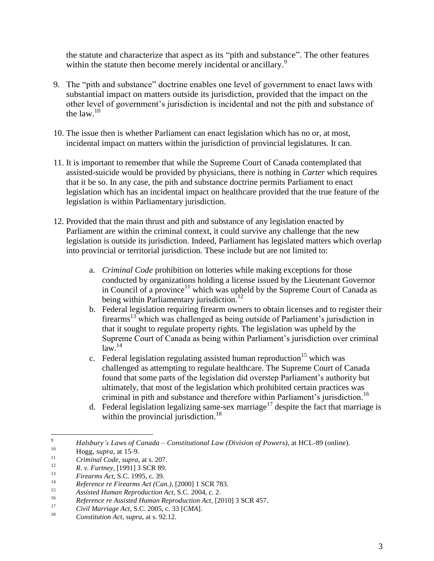the statute and characterize that aspect as its "pith and substance". The other features within the statute then become merely incidental or ancillary.<sup>9</sup>

- 9. The "pith and substance" doctrine enables one level of government to enact laws with substantial impact on matters outside its jurisdiction, provided that the impact on the other level of government's jurisdiction is incidental and not the pith and substance of the law. $10$
- 10. The issue then is whether Parliament can enact legislation which has no or, at most, incidental impact on matters within the jurisdiction of provincial legislatures. It can.
- 11. It is important to remember that while the Supreme Court of Canada contemplated that assisted-suicide would be provided by physicians, there is nothing in *Carter* which requires that it be so. In any case, the pith and substance doctrine permits Parliament to enact legislation which has an incidental impact on healthcare provided that the true feature of the legislation is within Parliamentary jurisdiction.
- 12. Provided that the main thrust and pith and substance of any legislation enacted by Parliament are within the criminal context, it could survive any challenge that the new legislation is outside its jurisdiction. Indeed, Parliament has legislated matters which overlap into provincial or territorial jurisdiction. These include but are not limited to:
	- a. *Criminal Code* prohibition on lotteries while making exceptions for those conducted by organizations holding a license issued by the Lieutenant Governor in Council of a province<sup>11</sup> which was upheld by the Supreme Court of Canada as being within Parliamentary jurisdiction.<sup>12</sup>
	- b. Federal legislation requiring firearm owners to obtain licenses and to register their firearms<sup>13</sup> which was challenged as being outside of Parliament's jurisdiction in that it sought to regulate property rights. The legislation was upheld by the Supreme Court of Canada as being within Parliament's jurisdiction over criminal  $law<sup>14</sup>$
	- c. Federal legislation regulating assisted human reproduction<sup>15</sup> which was challenged as attempting to regulate healthcare. The Supreme Court of Canada found that some parts of the legislation did overstep Parliament's authority but ultimately, that most of the legislation which prohibited certain practices was criminal in pith and substance and therefore within Parliament's jurisdiction.<sup>16</sup>
	- d. Federal legislation legalizing same-sex marriage<sup>17</sup> despite the fact that marriage is within the provincial jurisdiction.<sup>18</sup>

<sup>&</sup>lt;sup>9</sup> *Halsbury's Laws of Canada – Constitutional Law (Division of Powers)*, at HCL-89 (online).

 $^{10}$  Hogg, *supra*, at 15-9.

<sup>&</sup>lt;sup>11</sup> *Criminal Code, supra*, at s. 207.

<sup>&</sup>lt;sup>12</sup> *R. v. Furtney,* [1991] 3 SCR 89.

<sup>&</sup>lt;sup>13</sup> *Firearms Act*, S.C. 1995, c. 39.

<sup>14</sup> *Reference re Firearms Act (Can.)*, [2000] 1 SCR 783.

<sup>15</sup> *Assisted Human Reproduction Act*, S.C. 2004, c. 2.

<sup>&</sup>lt;sup>16</sup> *Reference re Assisted Human Reproduction Act*, [2010] 3 SCR 457.

<sup>17</sup> *Civil Marriage Act*, S.C. 2005, c. 33 [*CMA*].

<sup>18</sup> *Constitution Act, supra*, at s. 92.12.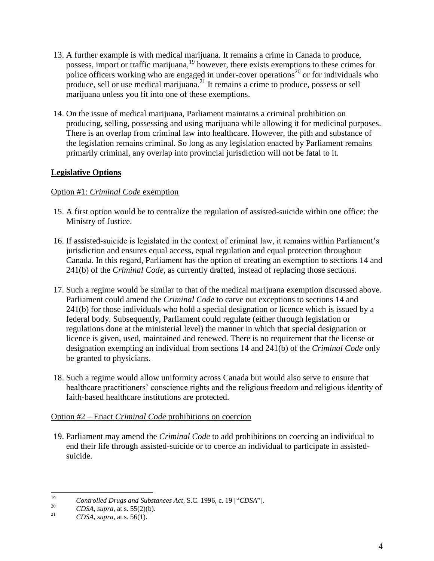- 13. A further example is with medical marijuana. It remains a crime in Canada to produce, possess, import or traffic marijuana,<sup>19</sup> however, there exists exemptions to these crimes for police officers working who are engaged in under-cover operations<sup>20</sup> or for individuals who produce, sell or use medical marijuana.<sup>21</sup> It remains a crime to produce, possess or sell marijuana unless you fit into one of these exemptions.
- 14. On the issue of medical marijuana, Parliament maintains a criminal prohibition on producing, selling, possessing and using marijuana while allowing it for medicinal purposes. There is an overlap from criminal law into healthcare. However, the pith and substance of the legislation remains criminal. So long as any legislation enacted by Parliament remains primarily criminal, any overlap into provincial jurisdiction will not be fatal to it.

# **Legislative Options**

## Option #1: *Criminal Code* exemption

- 15. A first option would be to centralize the regulation of assisted-suicide within one office: the Ministry of Justice.
- 16. If assisted-suicide is legislated in the context of criminal law, it remains within Parliament's jurisdiction and ensures equal access, equal regulation and equal protection throughout Canada. In this regard, Parliament has the option of creating an exemption to sections 14 and 241(b) of the *Criminal Code,* as currently drafted, instead of replacing those sections.
- 17. Such a regime would be similar to that of the medical marijuana exemption discussed above. Parliament could amend the *Criminal Code* to carve out exceptions to sections 14 and 241(b) for those individuals who hold a special designation or licence which is issued by a federal body. Subsequently, Parliament could regulate (either through legislation or regulations done at the ministerial level) the manner in which that special designation or licence is given, used, maintained and renewed. There is no requirement that the license or designation exempting an individual from sections 14 and 241(b) of the *Criminal Code* only be granted to physicians.
- 18. Such a regime would allow uniformity across Canada but would also serve to ensure that healthcare practitioners' conscience rights and the religious freedom and religious identity of faith-based healthcare institutions are protected.

## Option #2 – Enact *Criminal Code* prohibitions on coercion

19. Parliament may amend the *Criminal Code* to add prohibitions on coercing an individual to end their life through assisted-suicide or to coerce an individual to participate in assistedsuicide.

<sup>19</sup> *Controlled Drugs and Substances Act*, S.C. 1996, c. 19 ["*CDSA*"].

<sup>&</sup>lt;sup>20</sup> *CDSA, supra, at s.* 55(2)(b).

*CDSA, supra, at s.* 56(1).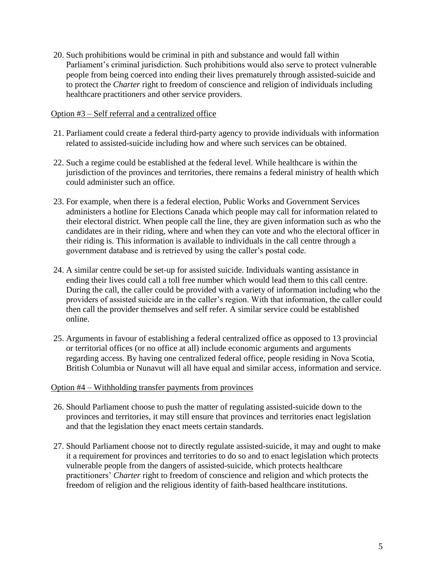20. Such prohibitions would be criminal in pith and substance and would fall within Parliament's criminal jurisdiction. Such prohibitions would also serve to protect vulnerable people from being coerced into ending their lives prematurely through assisted-suicide and to protect the *Charter* right to freedom of conscience and religion of individuals including healthcare practitioners and other service providers.

### Option #3 – Self referral and a centralized office

- 21. Parliament could create a federal third-party agency to provide individuals with information related to assisted-suicide including how and where such services can be obtained.
- 22. Such a regime could be established at the federal level. While healthcare is within the jurisdiction of the provinces and territories, there remains a federal ministry of health which could administer such an office.
- 23. For example, when there is a federal election, Public Works and Government Services administers a hotline for Elections Canada which people may call for information related to their electoral district. When people call the line, they are given information such as who the candidates are in their riding, where and when they can vote and who the electoral officer in their riding is. This information is available to individuals in the call centre through a government database and is retrieved by using the caller's postal code.
- 24. A similar centre could be set-up for assisted suicide. Individuals wanting assistance in ending their lives could call a toll free number which would lead them to this call centre. During the call, the caller could be provided with a variety of information including who the providers of assisted suicide are in the caller's region. With that information, the caller could then call the provider themselves and self refer. A similar service could be established online.
- 25. Arguments in favour of establishing a federal centralized office as opposed to 13 provincial or territorial offices (or no office at all) include economic arguments and arguments regarding access. By having one centralized federal office, people residing in Nova Scotia, British Columbia or Nunavut will all have equal and similar access, information and service.

#### Option #4 – Withholding transfer payments from provinces

- 26. Should Parliament choose to push the matter of regulating assisted-suicide down to the provinces and territories, it may still ensure that provinces and territories enact legislation and that the legislation they enact meets certain standards.
- 27. Should Parliament choose not to directly regulate assisted-suicide, it may and ought to make it a requirement for provinces and territories to do so and to enact legislation which protects vulnerable people from the dangers of assisted-suicide, which protects healthcare practitioners' *Charter* right to freedom of conscience and religion and which protects the freedom of religion and the religious identity of faith-based healthcare institutions.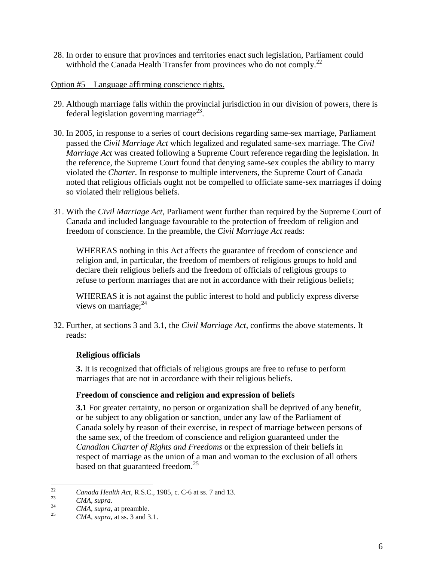- 28. In order to ensure that provinces and territories enact such legislation, Parliament could withhold the Canada Health Transfer from provinces who do not comply.<sup>22</sup>
- Option #5 Language affirming conscience rights.
- 29. Although marriage falls within the provincial jurisdiction in our division of powers, there is federal legislation governing marriage<sup>23</sup>.
- 30. In 2005, in response to a series of court decisions regarding same-sex marriage, Parliament passed the *Civil Marriage Act* which legalized and regulated same-sex marriage. The *Civil Marriage Act* was created following a Supreme Court reference regarding the legislation. In the reference, the Supreme Court found that denying same-sex couples the ability to marry violated the *Charter.* In response to multiple interveners, the Supreme Court of Canada noted that religious officials ought not be compelled to officiate same-sex marriages if doing so violated their religious beliefs.
- 31. With the *Civil Marriage Act,* Parliament went further than required by the Supreme Court of Canada and included language favourable to the protection of freedom of religion and freedom of conscience. In the preamble, the *Civil Marriage Act* reads:

WHEREAS nothing in this Act affects the guarantee of freedom of conscience and religion and, in particular, the freedom of members of religious groups to hold and declare their religious beliefs and the freedom of officials of religious groups to refuse to perform marriages that are not in accordance with their religious beliefs;

WHEREAS it is not against the public interest to hold and publicly express diverse views on marriage; $^{24}$ 

32. Further, at sections 3 and 3.1, the *Civil Marriage Act*, confirms the above statements. It reads:

# **Religious officials**

**3.** It is recognized that officials of religious groups are free to refuse to perform marriages that are not in accordance with their religious beliefs.

## **Freedom of conscience and religion and expression of beliefs**

**3.1** For greater certainty, no person or organization shall be deprived of any benefit, or be subject to any obligation or sanction, under any law of the Parliament of Canada solely by reason of their exercise, in respect of marriage between persons of the same sex, of the freedom of conscience and religion guaranteed under the *Canadian Charter of Rights and Freedoms* or the expression of their beliefs in respect of marriage as the union of a man and woman to the exclusion of all others based on that guaranteed freedom.<sup>25</sup>

<sup>22</sup> *Canada Health Act*, R.S.C., 1985, c. C-6 at ss. 7 and 13.

<sup>23</sup> *CMA, supra.*

<sup>&</sup>lt;sup>24</sup> *CMA, supra,* at preamble.

*CMA, supra, at ss.* 3 and 3.1.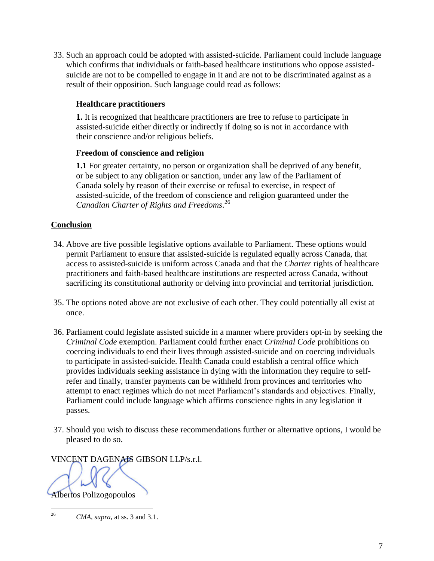33. Such an approach could be adopted with assisted-suicide. Parliament could include language which confirms that individuals or faith-based healthcare institutions who oppose assistedsuicide are not to be compelled to engage in it and are not to be discriminated against as a result of their opposition. Such language could read as follows:

# **Healthcare practitioners**

**1.** It is recognized that healthcare practitioners are free to refuse to participate in assisted-suicide either directly or indirectly if doing so is not in accordance with their conscience and/or religious beliefs.

## **Freedom of conscience and religion**

**1.1** For greater certainty, no person or organization shall be deprived of any benefit, or be subject to any obligation or sanction, under any law of the Parliament of Canada solely by reason of their exercise or refusal to exercise, in respect of assisted-suicide, of the freedom of conscience and religion guaranteed under the *Canadian Charter of Rights and Freedoms*. 26

# **Conclusion**

- 34. Above are five possible legislative options available to Parliament. These options would permit Parliament to ensure that assisted-suicide is regulated equally across Canada, that access to assisted-suicide is uniform across Canada and that the *Charter* rights of healthcare practitioners and faith-based healthcare institutions are respected across Canada, without sacrificing its constitutional authority or delving into provincial and territorial jurisdiction.
- 35. The options noted above are not exclusive of each other. They could potentially all exist at once.
- 36. Parliament could legislate assisted suicide in a manner where providers opt-in by seeking the *Criminal Code* exemption. Parliament could further enact *Criminal Code* prohibitions on coercing individuals to end their lives through assisted-suicide and on coercing individuals to participate in assisted-suicide. Health Canada could establish a central office which provides individuals seeking assistance in dying with the information they require to selfrefer and finally, transfer payments can be withheld from provinces and territories who attempt to enact regimes which do not meet Parliament's standards and objectives. Finally, Parliament could include language which affirms conscience rights in any legislation it passes.
- 37. Should you wish to discuss these recommendations further or alternative options, I would be pleased to do so.
- VINCENT DAGENAIS GIBSON LLP/s.r.l.

Albertos Polizogopoulos

<sup>26</sup> *CMA, supra,* at ss. 3 and 3.1.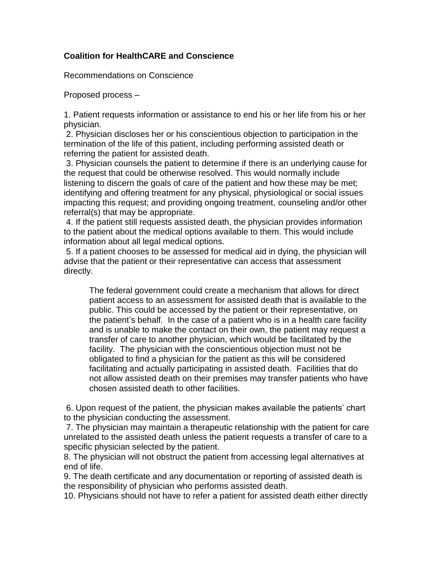# **Coalition for HealthCARE and Conscience**

Recommendations on Conscience

Proposed process –

1. Patient requests information or assistance to end his or her life from his or her physician.

2. Physician discloses her or his conscientious objection to participation in the termination of the life of this patient, including performing assisted death or referring the patient for assisted death.

3. Physician counsels the patient to determine if there is an underlying cause for the request that could be otherwise resolved. This would normally include listening to discern the goals of care of the patient and how these may be met; identifying and offering treatment for any physical, physiological or social issues impacting this request; and providing ongoing treatment, counseling and/or other referral(s) that may be appropriate.

4. If the patient still requests assisted death, the physician provides information to the patient about the medical options available to them. This would include information about all legal medical options.

5. If a patient chooses to be assessed for medical aid in dying, the physician will advise that the patient or their representative can access that assessment directly.

The federal government could create a mechanism that allows for direct patient access to an assessment for assisted death that is available to the public. This could be accessed by the patient or their representative, on the patient's behalf. In the case of a patient who is in a health care facility and is unable to make the contact on their own, the patient may request a transfer of care to another physician, which would be facilitated by the facility. The physician with the conscientious objection must not be obligated to find a physician for the patient as this will be considered facilitating and actually participating in assisted death. Facilities that do not allow assisted death on their premises may transfer patients who have chosen assisted death to other facilities.

6. Upon request of the patient, the physician makes available the patients' chart to the physician conducting the assessment.

7. The physician may maintain a therapeutic relationship with the patient for care unrelated to the assisted death unless the patient requests a transfer of care to a specific physician selected by the patient.

8. The physician will not obstruct the patient from accessing legal alternatives at end of life.

9. The death certificate and any documentation or reporting of assisted death is the responsibility of physician who performs assisted death.

10. Physicians should not have to refer a patient for assisted death either directly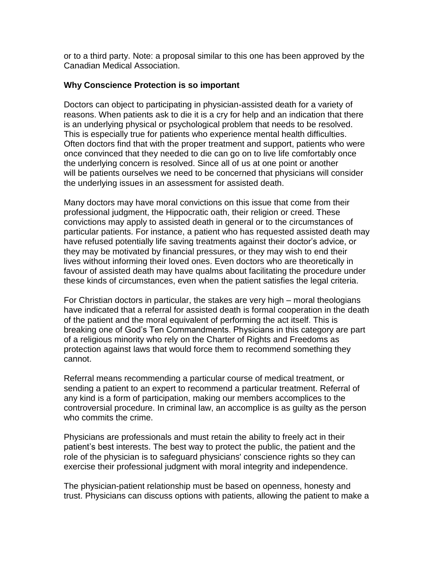or to a third party. Note: a proposal similar to this one has been approved by the Canadian Medical Association.

# **Why Conscience Protection is so important**

Doctors can object to participating in physician-assisted death for a variety of reasons. When patients ask to die it is a cry for help and an indication that there is an underlying physical or psychological problem that needs to be resolved. This is especially true for patients who experience mental health difficulties. Often doctors find that with the proper treatment and support, patients who were once convinced that they needed to die can go on to live life comfortably once the underlying concern is resolved. Since all of us at one point or another will be patients ourselves we need to be concerned that physicians will consider the underlying issues in an assessment for assisted death.

Many doctors may have moral convictions on this issue that come from their professional judgment, the Hippocratic oath, their religion or creed. These convictions may apply to assisted death in general or to the circumstances of particular patients. For instance, a patient who has requested assisted death may have refused potentially life saving treatments against their doctor's advice, or they may be motivated by financial pressures, or they may wish to end their lives without informing their loved ones. Even doctors who are theoretically in favour of assisted death may have qualms about facilitating the procedure under these kinds of circumstances, even when the patient satisfies the legal criteria.

For Christian doctors in particular, the stakes are very high – moral theologians have indicated that a referral for assisted death is formal cooperation in the death of the patient and the moral equivalent of performing the act itself. This is breaking one of God's Ten Commandments. Physicians in this category are part of a religious minority who rely on the Charter of Rights and Freedoms as protection against laws that would force them to recommend something they cannot.

Referral means recommending a particular course of medical treatment, or sending a patient to an expert to recommend a particular treatment. Referral of any kind is a form of participation, making our members accomplices to the controversial procedure. In criminal law, an accomplice is as guilty as the person who commits the crime.

Physicians are professionals and must retain the ability to freely act in their patient's best interests. The best way to protect the public, the patient and the role of the physician is to safeguard physicians' conscience rights so they can exercise their professional judgment with moral integrity and independence.

The physician-patient relationship must be based on openness, honesty and trust. Physicians can discuss options with patients, allowing the patient to make a